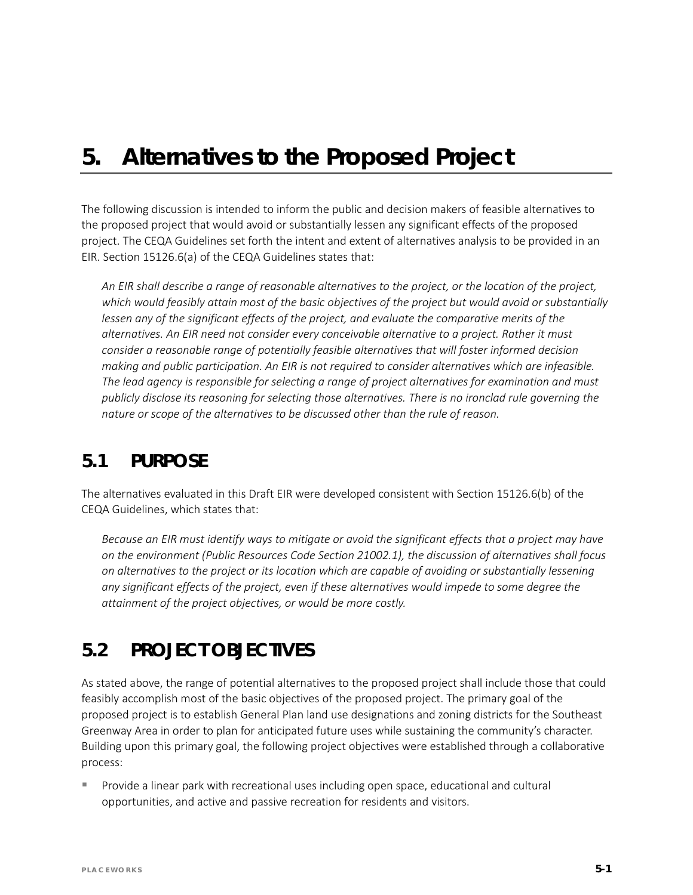# *5. Alternatives to the Proposed Project*

The following discussion is intended to inform the public and decision makers of feasible alternatives to the proposed project that would avoid or substantially lessen any significant effects of the proposed project. The CEQA Guidelines set forth the intent and extent of alternatives analysis to be provided in an EIR. Section 15126.6(a) of the CEQA Guidelines states that:

*An EIR shall describe a range of reasonable alternatives to the project, or the location of the project, which would feasibly attain most of the basic objectives of the project but would avoid or substantially*  lessen any of the significant effects of the project, and evaluate the comparative merits of the *alternatives. An EIR need not consider every conceivable alternative to a project. Rather it must consider a reasonable range of potentially feasible alternatives that will foster informed decision making and public participation. An EIR is not required to consider alternatives which are infeasible. The lead agency is responsible for selecting a range of project alternatives for examination and must publicly disclose its reasoning for selecting those alternatives. There is no ironclad rule governing the nature or scope of the alternatives to be discussed other than the rule of reason.*

# **5.1 PURPOSE**

The alternatives evaluated in this Draft EIR were developed consistent with Section 15126.6(b) of the CEQA Guidelines, which states that:

*Because an EIR must identify ways to mitigate or avoid the significant effects that a project may have on the environment (Public Resources Code Section 21002.1), the discussion of alternatives shall focus on alternatives to the project or its location which are capable of avoiding or substantially lessening any significant effects of the project, even if these alternatives would impede to some degree the attainment of the project objectives, or would be more costly.*

# **5.2 PROJECT OBJECTIVES**

As stated above, the range of potential alternatives to the proposed project shall include those that could feasibly accomplish most of the basic objectives of the proposed project. The primary goal of the proposed project is to establish General Plan land use designations and zoning districts for the Southeast Greenway Area in order to plan for anticipated future uses while sustaining the community's character. Building upon this primary goal, the following project objectives were established through a collaborative process:

 Provide a linear park with recreational uses including open space, educational and cultural opportunities, and active and passive recreation for residents and visitors.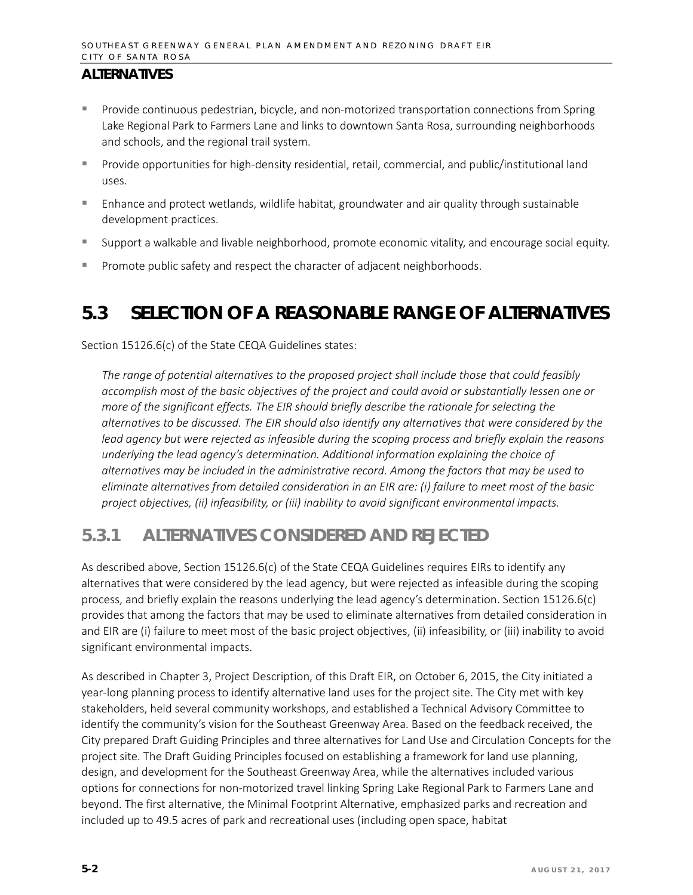- **Provide continuous pedestrian, bicycle, and non-motorized transportation connections from Spring** Lake Regional Park to Farmers Lane and links to downtown Santa Rosa, surrounding neighborhoods and schools, and the regional trail system.
- Provide opportunities for high-density residential, retail, commercial, and public/institutional land uses.
- Enhance and protect wetlands, wildlife habitat, groundwater and air quality through sustainable development practices.
- Support a walkable and livable neighborhood, promote economic vitality, and encourage social equity.
- **Promote public safety and respect the character of adjacent neighborhoods.**

# **5.3 SELECTION OF A REASONABLE RANGE OF ALTERNATIVES**

Section 15126.6(c) of the State CEQA Guidelines states:

*The range of potential alternatives to the proposed project shall include those that could feasibly accomplish most of the basic objectives of the project and could avoid or substantially lessen one or more of the significant effects. The EIR should briefly describe the rationale for selecting the alternatives to be discussed. The EIR should also identify any alternatives that were considered by the lead agency but were rejected as infeasible during the scoping process and briefly explain the reasons underlying the lead agency's determination. Additional information explaining the choice of alternatives may be included in the administrative record. Among the factors that may be used to eliminate alternatives from detailed consideration in an EIR are: (i) failure to meet most of the basic project objectives, (ii) infeasibility, or (iii) inability to avoid significant environmental impacts.*

## **5.3.1 ALTERNATIVES CONSIDERED AND REJECTED**

As described above, Section 15126.6(c) of the State CEQA Guidelines requires EIRs to identify any alternatives that were considered by the lead agency, but were rejected as infeasible during the scoping process, and briefly explain the reasons underlying the lead agency's determination. Section 15126.6(c) provides that among the factors that may be used to eliminate alternatives from detailed consideration in and EIR are (i) failure to meet most of the basic project objectives, (ii) infeasibility, or (iii) inability to avoid significant environmental impacts.

As described in Chapter 3, Project Description, of this Draft EIR, on October 6, 2015, the City initiated a year-long planning process to identify alternative land uses for the project site. The City met with key stakeholders, held several community workshops, and established a Technical Advisory Committee to identify the community's vision for the Southeast Greenway Area. Based on the feedback received, the City prepared Draft Guiding Principles and three alternatives for Land Use and Circulation Concepts for the project site. The Draft Guiding Principles focused on establishing a framework for land use planning, design, and development for the Southeast Greenway Area, while the alternatives included various options for connections for non-motorized travel linking Spring Lake Regional Park to Farmers Lane and beyond. The first alternative, the Minimal Footprint Alternative, emphasized parks and recreation and included up to 49.5 acres of park and recreational uses (including open space, habitat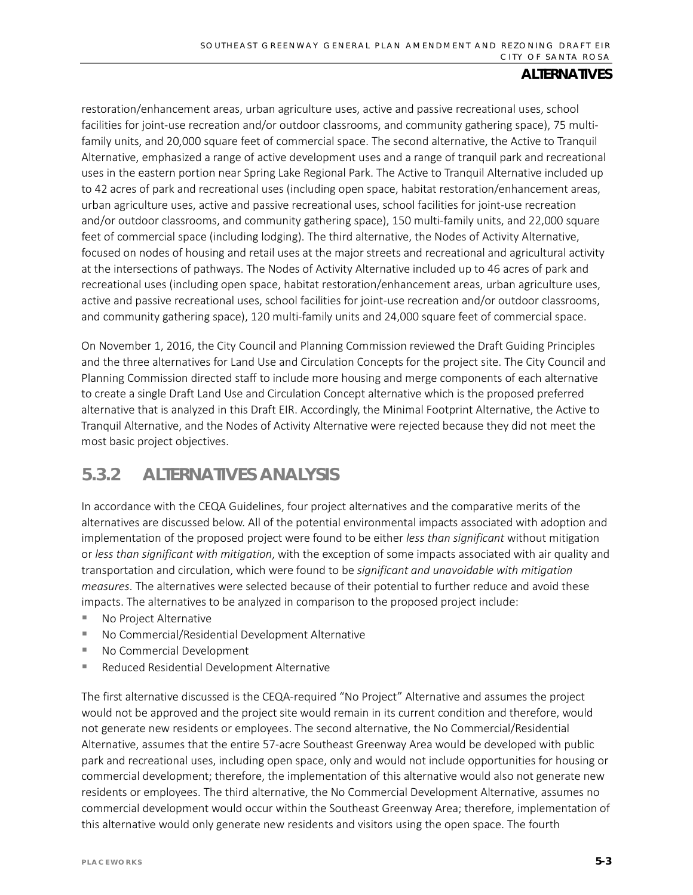restoration/enhancement areas, urban agriculture uses, active and passive recreational uses, school facilities for joint-use recreation and/or outdoor classrooms, and community gathering space), 75 multifamily units, and 20,000 square feet of commercial space. The second alternative, the Active to Tranquil Alternative, emphasized a range of active development uses and a range of tranquil park and recreational uses in the eastern portion near Spring Lake Regional Park. The Active to Tranquil Alternative included up to 42 acres of park and recreational uses (including open space, habitat restoration/enhancement areas, urban agriculture uses, active and passive recreational uses, school facilities for joint-use recreation and/or outdoor classrooms, and community gathering space), 150 multi-family units, and 22,000 square feet of commercial space (including lodging). The third alternative, the Nodes of Activity Alternative, focused on nodes of housing and retail uses at the major streets and recreational and agricultural activity at the intersections of pathways. The Nodes of Activity Alternative included up to 46 acres of park and recreational uses (including open space, habitat restoration/enhancement areas, urban agriculture uses, active and passive recreational uses, school facilities for joint-use recreation and/or outdoor classrooms, and community gathering space), 120 multi-family units and 24,000 square feet of commercial space.

On November 1, 2016, the City Council and Planning Commission reviewed the Draft Guiding Principles and the three alternatives for Land Use and Circulation Concepts for the project site. The City Council and Planning Commission directed staff to include more housing and merge components of each alternative to create a single Draft Land Use and Circulation Concept alternative which is the proposed preferred alternative that is analyzed in this Draft EIR. Accordingly, the Minimal Footprint Alternative, the Active to Tranquil Alternative, and the Nodes of Activity Alternative were rejected because they did not meet the most basic project objectives.

## **5.3.2 ALTERNATIVES ANALYSIS**

In accordance with the CEQA Guidelines, four project alternatives and the comparative merits of the alternatives are discussed below. All of the potential environmental impacts associated with adoption and implementation of the proposed project were found to be either *less than significant* without mitigation or *less than significant with mitigation*, with the exception of some impacts associated with air quality and transportation and circulation, which were found to be *significant and unavoidable with mitigation measures*. The alternatives were selected because of their potential to further reduce and avoid these impacts. The alternatives to be analyzed in comparison to the proposed project include:

- No Project Alternative
- No Commercial/Residential Development Alternative
- No Commercial Development
- Reduced Residential Development Alternative

The first alternative discussed is the CEQA-required "No Project" Alternative and assumes the project would not be approved and the project site would remain in its current condition and therefore, would not generate new residents or employees. The second alternative, the No Commercial/Residential Alternative, assumes that the entire 57-acre Southeast Greenway Area would be developed with public park and recreational uses, including open space, only and would not include opportunities for housing or commercial development; therefore, the implementation of this alternative would also not generate new residents or employees. The third alternative, the No Commercial Development Alternative, assumes no commercial development would occur within the Southeast Greenway Area; therefore, implementation of this alternative would only generate new residents and visitors using the open space. The fourth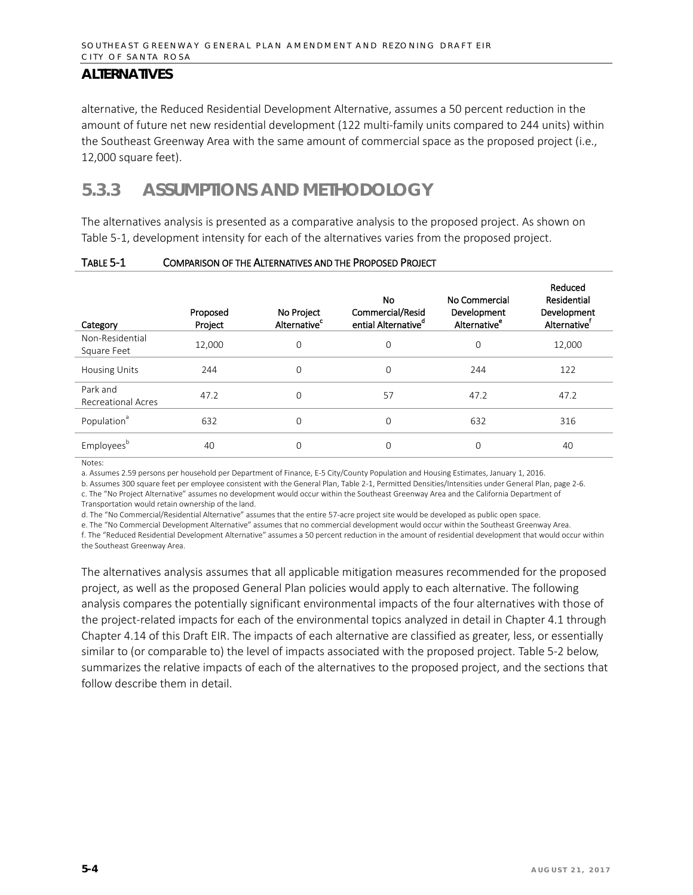alternative, the Reduced Residential Development Alternative, assumes a 50 percent reduction in the amount of future net new residential development (122 multi-family units compared to 244 units) within the Southeast Greenway Area with the same amount of commercial space as the proposed project (i.e., 12,000 square feet).

# **5.3.3 ASSUMPTIONS AND METHODOLOGY**

The alternatives analysis is presented as a comparative analysis to the proposed project. As shown on Table 5-1, development intensity for each of the alternatives varies from the proposed project.

| Category                       | Proposed<br>Project | No Project<br>Alternative <sup>c</sup> | No.<br>Commercial/Resid<br>ential Alternative <sup>d</sup> | No Commercial<br>Development<br>Alternative <sup>e</sup> | Reduced<br>Residential<br>Development<br>Alternative <sup>t</sup> |
|--------------------------------|---------------------|----------------------------------------|------------------------------------------------------------|----------------------------------------------------------|-------------------------------------------------------------------|
| Non-Residential<br>Square Feet | 12,000              | 0                                      | $\mathbf 0$                                                | 0                                                        | 12,000                                                            |
| <b>Housing Units</b>           | 244                 | 0                                      | $\mathbf 0$                                                | 244                                                      | 122                                                               |
| Park and<br>Recreational Acres | 47.2                | $\Omega$                               | 57                                                         | 47.2                                                     | 47.2                                                              |
| Population <sup>a</sup>        | 632                 | 0                                      | $\mathbf 0$                                                | 632                                                      | 316                                                               |
| Employeesb                     | 40                  | 0                                      | $\mathbf 0$                                                | 0                                                        | 40                                                                |

#### TABLE 5-1 COMPARISON OF THE ALTERNATIVES AND THE PROPOSED PROJECT

Notes:

a. Assumes 2.59 persons per household per Department of Finance, E-5 City/County Population and Housing Estimates, January 1, 2016.

b. Assumes 300 square feet per employee consistent with the General Plan, Table 2-1, Permitted Densities/Intensities under General Plan, page 2-6. c. The "No Project Alternative" assumes no development would occur within the Southeast Greenway Area and the California Department of

Transportation would retain ownership of the land.

d. The "No Commercial/Residential Alternative" assumes that the entire 57-acre project site would be developed as public open space.

e. The "No Commercial Development Alternative" assumes that no commercial development would occur within the Southeast Greenway Area.

f. The "Reduced Residential Development Alternative" assumes a 50 percent reduction in the amount of residential development that would occur within the Southeast Greenway Area.

The alternatives analysis assumes that all applicable mitigation measures recommended for the proposed project, as well as the proposed General Plan policies would apply to each alternative. The following analysis compares the potentially significant environmental impacts of the four alternatives with those of the project-related impacts for each of the environmental topics analyzed in detail in Chapter 4.1 through Chapter 4.14 of this Draft EIR. The impacts of each alternative are classified as greater, less, or essentially similar to (or comparable to) the level of impacts associated with the proposed project. Table 5-2 below, summarizes the relative impacts of each of the alternatives to the proposed project, and the sections that follow describe them in detail.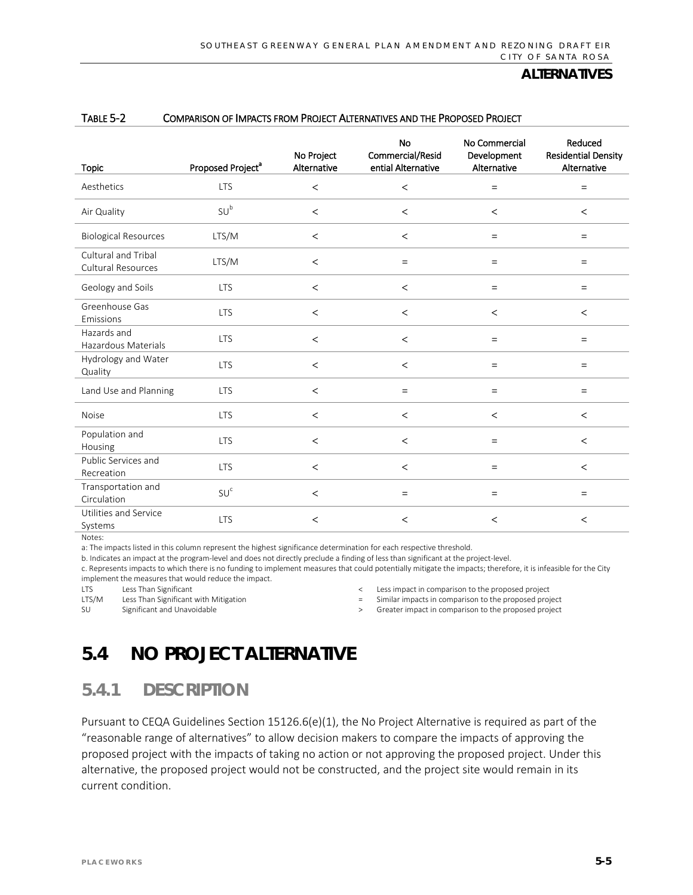|                                           |                               | No Project  | <b>No</b><br>Commercial/Resid | No Commercial<br>Development | Reduced<br><b>Residential Density</b> |
|-------------------------------------------|-------------------------------|-------------|-------------------------------|------------------------------|---------------------------------------|
| <b>Topic</b>                              | Proposed Project <sup>a</sup> | Alternative | ential Alternative            | Alternative                  | Alternative                           |
| Aesthetics                                | <b>LTS</b>                    | $\,<$       | $\,<$                         | $=$                          | $=$                                   |
| Air Quality                               | SU <sup>b</sup>               | $\,<$       | $\,<$                         | $\prec$                      | $\,<\,$                               |
| <b>Biological Resources</b>               | LTS/M                         | $\,<$       | $\,<$                         | $=$                          | $=$                                   |
| Cultural and Tribal<br>Cultural Resources | LTS/M                         | $\,<$       | $=$                           | $=$                          | $=$                                   |
| Geology and Soils                         | <b>LTS</b>                    | $\,<$       | $\,<$                         | $=$                          | $=$                                   |
| Greenhouse Gas<br>Emissions               | <b>LTS</b>                    | $\,<$       | $\,<$                         | $\prec$                      | $\,<$                                 |
| Hazards and<br>Hazardous Materials        | <b>LTS</b>                    | $\,<$       | $\,<$                         | $=$                          | $=$                                   |
| Hydrology and Water<br>Quality            | <b>LTS</b>                    | $\,<$       | $\,<$                         | $\equiv$                     | $\equiv$                              |
| Land Use and Planning                     | <b>LTS</b>                    | $\,<$       | $\equiv$                      | $=$                          | $=$                                   |
| <b>Noise</b>                              | <b>LTS</b>                    | $\,<$       | $\,<$                         | $\prec$                      | $\prec$                               |
| Population and<br>Housing                 | <b>LTS</b>                    | $\,<$       | $\,<$                         | $=$                          | $\,<$                                 |
| Public Services and<br>Recreation         | <b>LTS</b>                    | $\,<$       | $\,<$                         | $=$                          | $\,<$                                 |
| Transportation and<br>Circulation         | SU <sup>c</sup>               | $\,<$       | $\equiv$                      | $=$                          | $=$                                   |
| Utilities and Service<br>Systems          | <b>LTS</b>                    | $\,<$       | $\,<$                         | $\,<$                        | $\,<$                                 |

#### TABLE 5-2 COMPARISON OF IMPACTS FROM PROJECT ALTERNATIVES AND THE PROPOSED PROJECT

Notes:

a: The impacts listed in this column represent the highest significance determination for each respective threshold.

b. Indicates an impact at the program-level and does not directly preclude a finding of less than significant at the project-level.

c. Represents impacts to which there is no funding to implement measures that could potentially mitigate the impacts; therefore, it is infeasible for the City implement the measures that would reduce the impact.<br>
ITS Less Than Significant

Less Than Significant

LTS/M Less Than Significant with Mitigation

SU Significant and Unavoidable

- < Less impact in comparison to the proposed project
- = Similar impacts in comparison to the proposed project
- > Greater impact in comparison to the proposed project

# **5.4 NO PROJECT ALTERNATIVE**

## **5.4.1 DESCRIPTION**

Pursuant to CEQA Guidelines Section 15126.6(e)(1), the No Project Alternative is required as part of the "reasonable range of alternatives" to allow decision makers to compare the impacts of approving the proposed project with the impacts of taking no action or not approving the proposed project. Under this alternative, the proposed project would not be constructed, and the project site would remain in its current condition.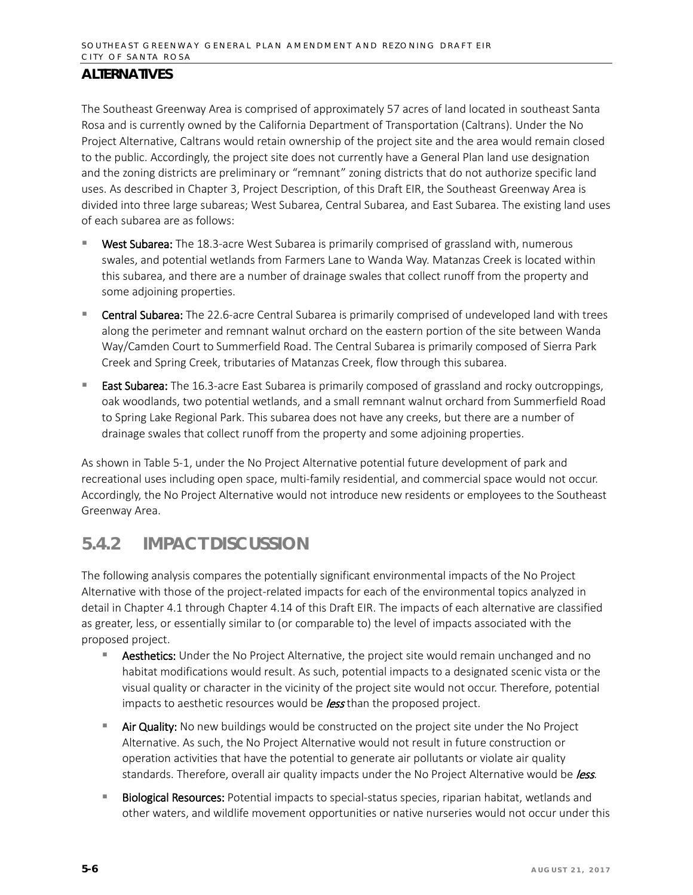The Southeast Greenway Area is comprised of approximately 57 acres of land located in southeast Santa Rosa and is currently owned by the California Department of Transportation (Caltrans). Under the No Project Alternative, Caltrans would retain ownership of the project site and the area would remain closed to the public. Accordingly, the project site does not currently have a General Plan land use designation and the zoning districts are preliminary or "remnant" zoning districts that do not authorize specific land uses. As described in Chapter 3, Project Description, of this Draft EIR, the Southeast Greenway Area is divided into three large subareas; West Subarea, Central Subarea, and East Subarea. The existing land uses of each subarea are as follows:

- West Subarea: The 18.3-acre West Subarea is primarily comprised of grassland with, numerous swales, and potential wetlands from Farmers Lane to Wanda Way. Matanzas Creek is located within this subarea, and there are a number of drainage swales that collect runoff from the property and some adjoining properties.
- **Central Subarea:** The 22.6-acre Central Subarea is primarily comprised of undeveloped land with trees along the perimeter and remnant walnut orchard on the eastern portion of the site between Wanda Way/Camden Court to Summerfield Road. The Central Subarea is primarily composed of Sierra Park Creek and Spring Creek, tributaries of Matanzas Creek, flow through this subarea.
- East Subarea: The 16.3-acre East Subarea is primarily composed of grassland and rocky outcroppings, oak woodlands, two potential wetlands, and a small remnant walnut orchard from Summerfield Road to Spring Lake Regional Park. This subarea does not have any creeks, but there are a number of drainage swales that collect runoff from the property and some adjoining properties.

As shown in Table 5-1, under the No Project Alternative potential future development of park and recreational uses including open space, multi-family residential, and commercial space would not occur. Accordingly, the No Project Alternative would not introduce new residents or employees to the Southeast Greenway Area.

## **5.4.2 IMPACT DISCUSSION**

The following analysis compares the potentially significant environmental impacts of the No Project Alternative with those of the project-related impacts for each of the environmental topics analyzed in detail in Chapter 4.1 through Chapter 4.14 of this Draft EIR. The impacts of each alternative are classified as greater, less, or essentially similar to (or comparable to) the level of impacts associated with the proposed project.

- Aesthetics: Under the No Project Alternative, the project site would remain unchanged and no habitat modifications would result. As such, potential impacts to a designated scenic vista or the visual quality or character in the vicinity of the project site would not occur. Therefore, potential impacts to aesthetic resources would be *less* than the proposed project.
- **Air Quality:** No new buildings would be constructed on the project site under the No Project Alternative. As such, the No Project Alternative would not result in future construction or operation activities that have the potential to generate air pollutants or violate air quality standards. Therefore, overall air quality impacts under the No Project Alternative would be less.
- Biological Resources: Potential impacts to special-status species, riparian habitat, wetlands and other waters, and wildlife movement opportunities or native nurseries would not occur under this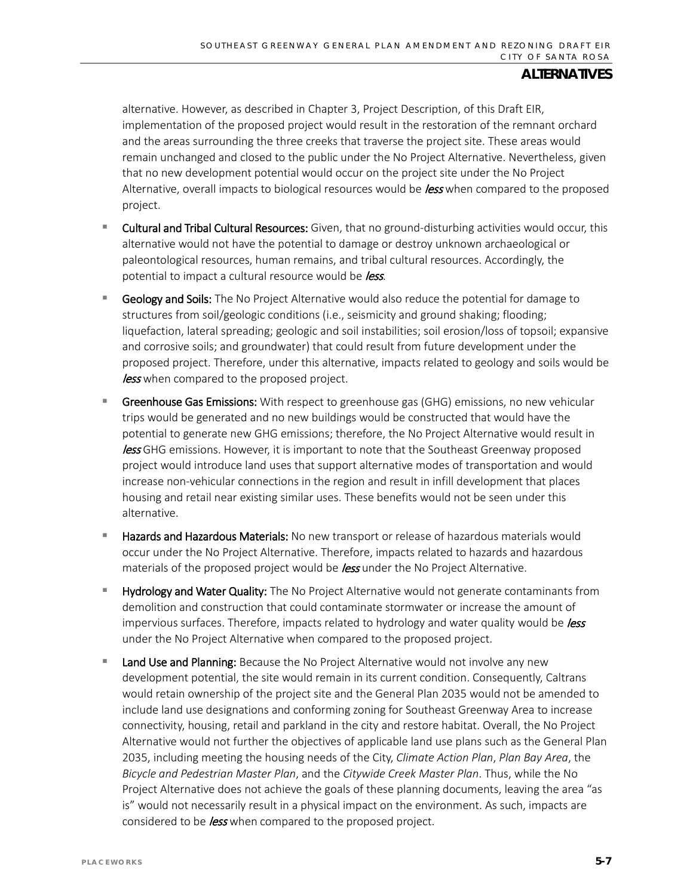alternative. However, as described in Chapter 3, Project Description, of this Draft EIR, implementation of the proposed project would result in the restoration of the remnant orchard and the areas surrounding the three creeks that traverse the project site. These areas would remain unchanged and closed to the public under the No Project Alternative. Nevertheless, given that no new development potential would occur on the project site under the No Project Alternative, overall impacts to biological resources would be *less* when compared to the proposed project.

- **Cultural and Tribal Cultural Resources:** Given, that no ground-disturbing activities would occur, this alternative would not have the potential to damage or destroy unknown archaeological or paleontological resources, human remains, and tribal cultural resources. Accordingly, the potential to impact a cultural resource would be *less*.
- **Geology and Soils:** The No Project Alternative would also reduce the potential for damage to structures from soil/geologic conditions (i.e., seismicity and ground shaking; flooding; liquefaction, lateral spreading; geologic and soil instabilities; soil erosion/loss of topsoil; expansive and corrosive soils; and groundwater) that could result from future development under the proposed project. Therefore, under this alternative, impacts related to geology and soils would be less when compared to the proposed project.
- **Greenhouse Gas Emissions:** With respect to greenhouse gas (GHG) emissions, no new vehicular trips would be generated and no new buildings would be constructed that would have the potential to generate new GHG emissions; therefore, the No Project Alternative would result in less GHG emissions. However, it is important to note that the Southeast Greenway proposed project would introduce land uses that support alternative modes of transportation and would increase non-vehicular connections in the region and result in infill development that places housing and retail near existing similar uses. These benefits would not be seen under this alternative.
- Hazards and Hazardous Materials: No new transport or release of hazardous materials would occur under the No Project Alternative. Therefore, impacts related to hazards and hazardous materials of the proposed project would be **less** under the No Project Alternative.
- Hydrology and Water Quality: The No Project Alternative would not generate contaminants from demolition and construction that could contaminate stormwater or increase the amount of impervious surfaces. Therefore, impacts related to hydrology and water quality would be  $l$ ess under the No Project Alternative when compared to the proposed project.
- Land Use and Planning: Because the No Project Alternative would not involve any new development potential, the site would remain in its current condition. Consequently, Caltrans would retain ownership of the project site and the General Plan 2035 would not be amended to include land use designations and conforming zoning for Southeast Greenway Area to increase connectivity, housing, retail and parkland in the city and restore habitat. Overall, the No Project Alternative would not further the objectives of applicable land use plans such as the General Plan 2035, including meeting the housing needs of the City, *Climate Action Plan*, *Plan Bay Area*, the *Bicycle and Pedestrian Master Plan*, and the *Citywide Creek Master Plan*. Thus, while the No Project Alternative does not achieve the goals of these planning documents, leaving the area "as is" would not necessarily result in a physical impact on the environment. As such, impacts are considered to be *less* when compared to the proposed project.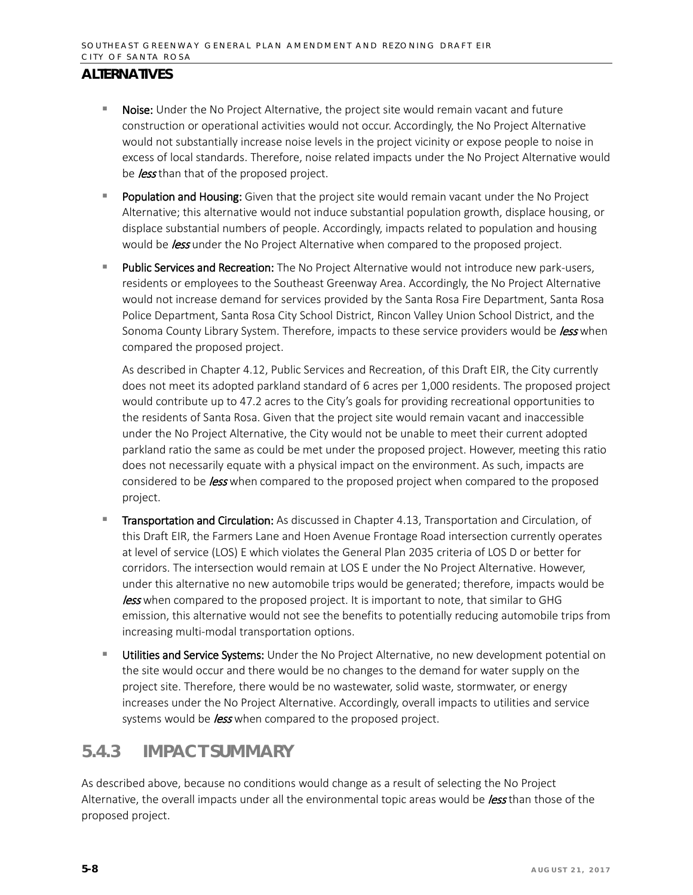- **Noise:** Under the No Project Alternative, the project site would remain vacant and future construction or operational activities would not occur. Accordingly, the No Project Alternative would not substantially increase noise levels in the project vicinity or expose people to noise in excess of local standards. Therefore, noise related impacts under the No Project Alternative would be less than that of the proposed project.
- **Population and Housing:** Given that the project site would remain vacant under the No Project Alternative; this alternative would not induce substantial population growth, displace housing, or displace substantial numbers of people. Accordingly, impacts related to population and housing would be *less* under the No Project Alternative when compared to the proposed project.
- Public Services and Recreation: The No Project Alternative would not introduce new park-users, residents or employees to the Southeast Greenway Area. Accordingly, the No Project Alternative would not increase demand for services provided by the Santa Rosa Fire Department, Santa Rosa Police Department, Santa Rosa City School District, Rincon Valley Union School District, and the Sonoma County Library System. Therefore, impacts to these service providers would be *less* when compared the proposed project.

As described in Chapter 4.12, Public Services and Recreation, of this Draft EIR, the City currently does not meet its adopted parkland standard of 6 acres per 1,000 residents. The proposed project would contribute up to 47.2 acres to the City's goals for providing recreational opportunities to the residents of Santa Rosa. Given that the project site would remain vacant and inaccessible under the No Project Alternative, the City would not be unable to meet their current adopted parkland ratio the same as could be met under the proposed project. However, meeting this ratio does not necessarily equate with a physical impact on the environment. As such, impacts are considered to be *less* when compared to the proposed project when compared to the proposed project.

- **Transportation and Circulation:** As discussed in Chapter 4.13, Transportation and Circulation, of this Draft EIR, the Farmers Lane and Hoen Avenue Frontage Road intersection currently operates at level of service (LOS) E which violates the General Plan 2035 criteria of LOS D or better for corridors. The intersection would remain at LOS E under the No Project Alternative. However, under this alternative no new automobile trips would be generated; therefore, impacts would be **less** when compared to the proposed project. It is important to note, that similar to GHG emission, this alternative would not see the benefits to potentially reducing automobile trips from increasing multi-modal transportation options.
- Utilities and Service Systems: Under the No Project Alternative, no new development potential on the site would occur and there would be no changes to the demand for water supply on the project site. Therefore, there would be no wastewater, solid waste, stormwater, or energy increases under the No Project Alternative. Accordingly, overall impacts to utilities and service systems would be *less* when compared to the proposed project.

## **5.4.3 IMPACT SUMMARY**

As described above, because no conditions would change as a result of selecting the No Project Alternative, the overall impacts under all the environmental topic areas would be *less* than those of the proposed project.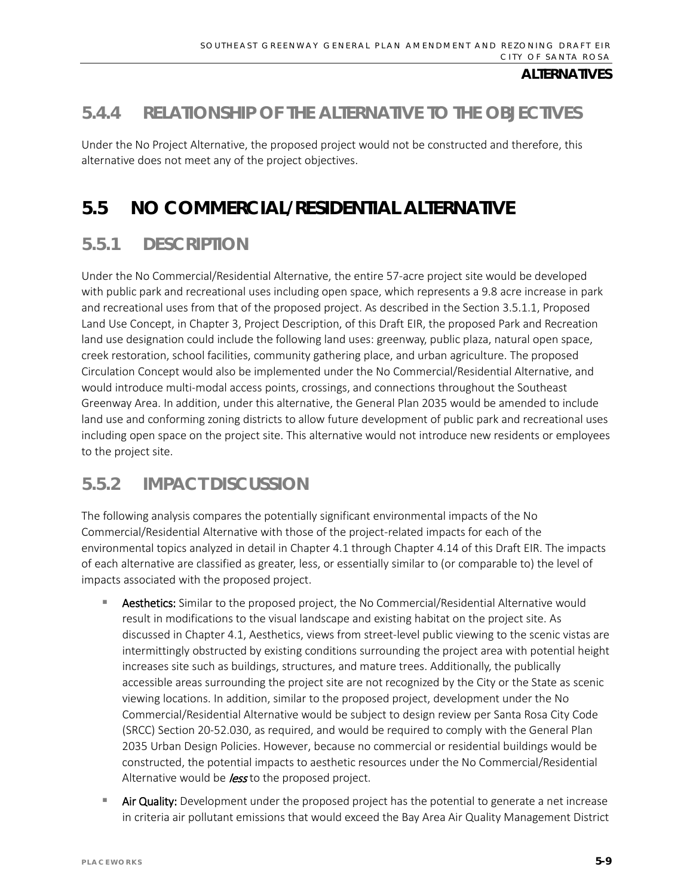# **5.4.4 RELATIONSHIP OF THE ALTERNATIVE TO THE OBJECTIVES**

Under the No Project Alternative, the proposed project would not be constructed and therefore, this alternative does not meet any of the project objectives.

# **5.5 NO COMMERCIAL/RESIDENTIAL ALTERNATIVE**

# **5.5.1 DESCRIPTION**

Under the No Commercial/Residential Alternative, the entire 57-acre project site would be developed with public park and recreational uses including open space, which represents a 9.8 acre increase in park and recreational uses from that of the proposed project. As described in the Section 3.5.1.1, Proposed Land Use Concept, in Chapter 3, Project Description, of this Draft EIR, the proposed Park and Recreation land use designation could include the following land uses: greenway, public plaza, natural open space, creek restoration, school facilities, community gathering place, and urban agriculture. The proposed Circulation Concept would also be implemented under the No Commercial/Residential Alternative, and would introduce multi-modal access points, crossings, and connections throughout the Southeast Greenway Area. In addition, under this alternative, the General Plan 2035 would be amended to include land use and conforming zoning districts to allow future development of public park and recreational uses including open space on the project site. This alternative would not introduce new residents or employees to the project site.

## **5.5.2 IMPACT DISCUSSION**

The following analysis compares the potentially significant environmental impacts of the No Commercial/Residential Alternative with those of the project-related impacts for each of the environmental topics analyzed in detail in Chapter 4.1 through Chapter 4.14 of this Draft EIR. The impacts of each alternative are classified as greater, less, or essentially similar to (or comparable to) the level of impacts associated with the proposed project.

- Aesthetics: Similar to the proposed project, the No Commercial/Residential Alternative would result in modifications to the visual landscape and existing habitat on the project site. As discussed in Chapter 4.1, Aesthetics, views from street-level public viewing to the scenic vistas are intermittingly obstructed by existing conditions surrounding the project area with potential height increases site such as buildings, structures, and mature trees. Additionally, the publically accessible areas surrounding the project site are not recognized by the City or the State as scenic viewing locations. In addition, similar to the proposed project, development under the No Commercial/Residential Alternative would be subject to design review per Santa Rosa City Code (SRCC) Section 20-52.030, as required, and would be required to comply with the General Plan 2035 Urban Design Policies. However, because no commercial or residential buildings would be constructed, the potential impacts to aesthetic resources under the No Commercial/Residential Alternative would be *less* to the proposed project.
- Air Quality: Development under the proposed project has the potential to generate a net increase in criteria air pollutant emissions that would exceed the Bay Area Air Quality Management District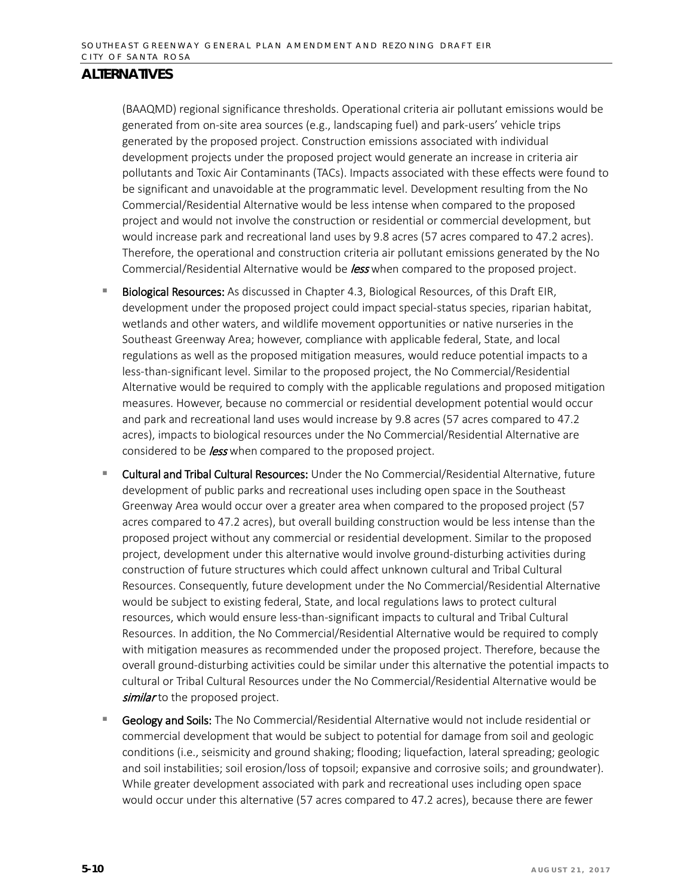(BAAQMD) regional significance thresholds. Operational criteria air pollutant emissions would be generated from on-site area sources (e.g., landscaping fuel) and park-users' vehicle trips generated by the proposed project. Construction emissions associated with individual development projects under the proposed project would generate an increase in criteria air pollutants and Toxic Air Contaminants (TACs). Impacts associated with these effects were found to be significant and unavoidable at the programmatic level. Development resulting from the No Commercial/Residential Alternative would be less intense when compared to the proposed project and would not involve the construction or residential or commercial development, but would increase park and recreational land uses by 9.8 acres (57 acres compared to 47.2 acres). Therefore, the operational and construction criteria air pollutant emissions generated by the No Commercial/Residential Alternative would be *less* when compared to the proposed project.

- Biological Resources: As discussed in Chapter 4.3, Biological Resources, of this Draft EIR, development under the proposed project could impact special-status species, riparian habitat, wetlands and other waters, and wildlife movement opportunities or native nurseries in the Southeast Greenway Area; however, compliance with applicable federal, State, and local regulations as well as the proposed mitigation measures, would reduce potential impacts to a less-than-significant level. Similar to the proposed project, the No Commercial/Residential Alternative would be required to comply with the applicable regulations and proposed mitigation measures. However, because no commercial or residential development potential would occur and park and recreational land uses would increase by 9.8 acres (57 acres compared to 47.2 acres), impacts to biological resources under the No Commercial/Residential Alternative are considered to be *less* when compared to the proposed project.
- **E** Cultural and Tribal Cultural Resources: Under the No Commercial/Residential Alternative, future development of public parks and recreational uses including open space in the Southeast Greenway Area would occur over a greater area when compared to the proposed project (57 acres compared to 47.2 acres), but overall building construction would be less intense than the proposed project without any commercial or residential development. Similar to the proposed project, development under this alternative would involve ground-disturbing activities during construction of future structures which could affect unknown cultural and Tribal Cultural Resources. Consequently, future development under the No Commercial/Residential Alternative would be subject to existing federal, State, and local regulations laws to protect cultural resources, which would ensure less-than-significant impacts to cultural and Tribal Cultural Resources. In addition, the No Commercial/Residential Alternative would be required to comply with mitigation measures as recommended under the proposed project. Therefore, because the overall ground-disturbing activities could be similar under this alternative the potential impacts to cultural or Tribal Cultural Resources under the No Commercial/Residential Alternative would be similar to the proposed project.
- **Geology and Soils:** The No Commercial/Residential Alternative would not include residential or commercial development that would be subject to potential for damage from soil and geologic conditions (i.e., seismicity and ground shaking; flooding; liquefaction, lateral spreading; geologic and soil instabilities; soil erosion/loss of topsoil; expansive and corrosive soils; and groundwater). While greater development associated with park and recreational uses including open space would occur under this alternative (57 acres compared to 47.2 acres), because there are fewer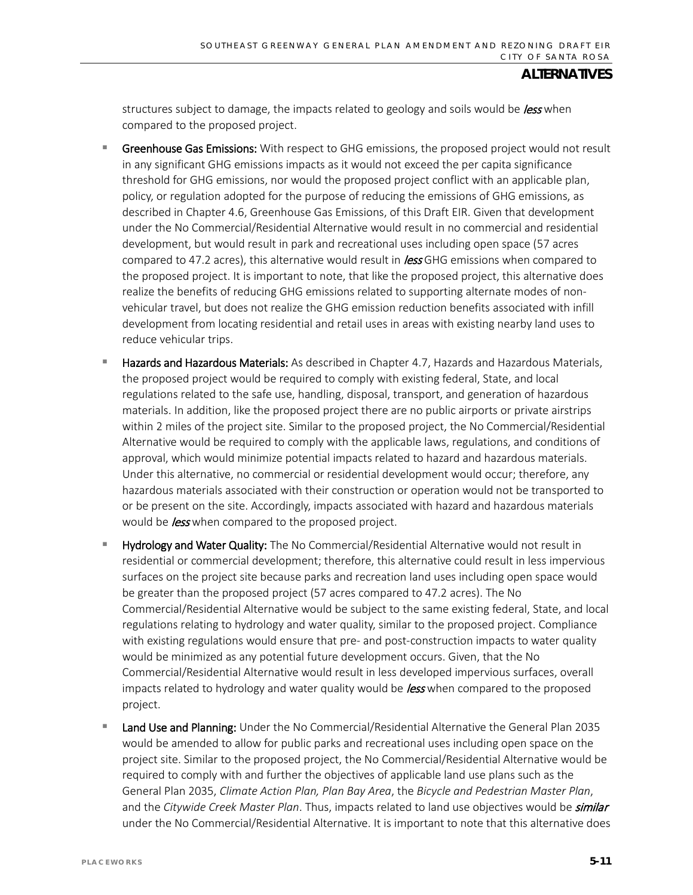structures subject to damage, the impacts related to geology and soils would be *less* when compared to the proposed project.

- **F** Greenhouse Gas Emissions: With respect to GHG emissions, the proposed project would not result in any significant GHG emissions impacts as it would not exceed the per capita significance threshold for GHG emissions, nor would the proposed project conflict with an applicable plan, policy, or regulation adopted for the purpose of reducing the emissions of GHG emissions, as described in Chapter 4.6, Greenhouse Gas Emissions, of this Draft EIR. Given that development under the No Commercial/Residential Alternative would result in no commercial and residential development, but would result in park and recreational uses including open space (57 acres compared to 47.2 acres), this alternative would result in **less** GHG emissions when compared to the proposed project. It is important to note, that like the proposed project, this alternative does realize the benefits of reducing GHG emissions related to supporting alternate modes of nonvehicular travel, but does not realize the GHG emission reduction benefits associated with infill development from locating residential and retail uses in areas with existing nearby land uses to reduce vehicular trips.
- Hazards and Hazardous Materials: As described in Chapter 4.7, Hazards and Hazardous Materials, the proposed project would be required to comply with existing federal, State, and local regulations related to the safe use, handling, disposal, transport, and generation of hazardous materials. In addition, like the proposed project there are no public airports or private airstrips within 2 miles of the project site. Similar to the proposed project, the No Commercial/Residential Alternative would be required to comply with the applicable laws, regulations, and conditions of approval, which would minimize potential impacts related to hazard and hazardous materials. Under this alternative, no commercial or residential development would occur; therefore, any hazardous materials associated with their construction or operation would not be transported to or be present on the site. Accordingly, impacts associated with hazard and hazardous materials would be *less* when compared to the proposed project.
- Hydrology and Water Quality: The No Commercial/Residential Alternative would not result in residential or commercial development; therefore, this alternative could result in less impervious surfaces on the project site because parks and recreation land uses including open space would be greater than the proposed project (57 acres compared to 47.2 acres). The No Commercial/Residential Alternative would be subject to the same existing federal, State, and local regulations relating to hydrology and water quality, similar to the proposed project. Compliance with existing regulations would ensure that pre- and post-construction impacts to water quality would be minimized as any potential future development occurs. Given, that the No Commercial/Residential Alternative would result in less developed impervious surfaces, overall impacts related to hydrology and water quality would be *less* when compared to the proposed project.
- Land Use and Planning: Under the No Commercial/Residential Alternative the General Plan 2035 would be amended to allow for public parks and recreational uses including open space on the project site. Similar to the proposed project, the No Commercial/Residential Alternative would be required to comply with and further the objectives of applicable land use plans such as the General Plan 2035, *Climate Action Plan, Plan Bay Area*, the *Bicycle and Pedestrian Master Plan*, and the *Citywide Creek Master Plan*. Thus, impacts related to land use objectives would be *similar* under the No Commercial/Residential Alternative. It is important to note that this alternative does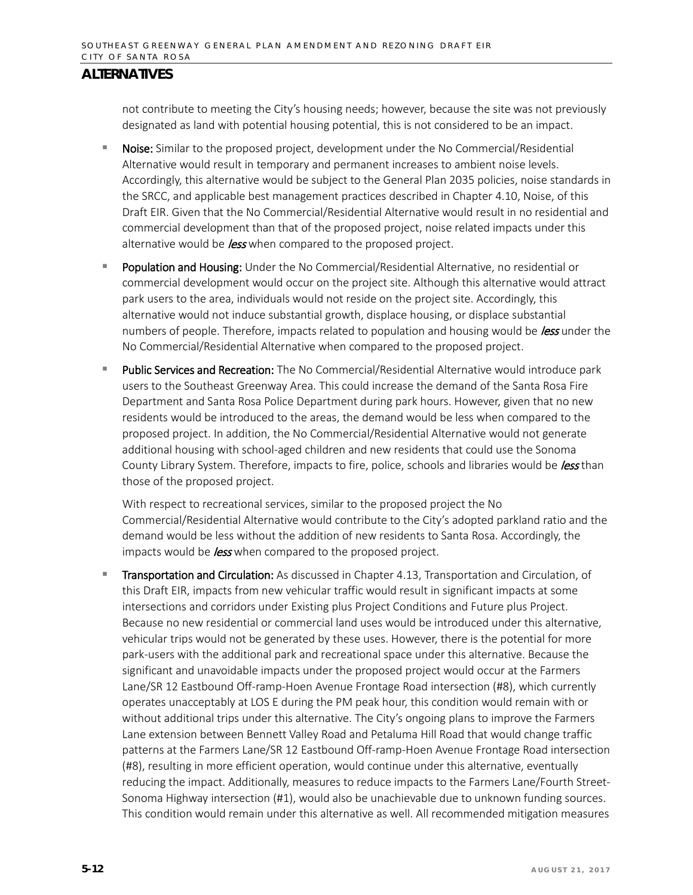not contribute to meeting the City's housing needs; however, because the site was not previously designated as land with potential housing potential, this is not considered to be an impact.

- **Noise:** Similar to the proposed project, development under the No Commercial/Residential Alternative would result in temporary and permanent increases to ambient noise levels. Accordingly, this alternative would be subject to the General Plan 2035 policies, noise standards in the SRCC, and applicable best management practices described in Chapter 4.10, Noise, of this Draft EIR. Given that the No Commercial/Residential Alternative would result in no residential and commercial development than that of the proposed project, noise related impacts under this alternative would be *less* when compared to the proposed project.
- **Population and Housing:** Under the No Commercial/Residential Alternative, no residential or commercial development would occur on the project site. Although this alternative would attract park users to the area, individuals would not reside on the project site. Accordingly, this alternative would not induce substantial growth, displace housing, or displace substantial numbers of people. Therefore, impacts related to population and housing would be *less* under the No Commercial/Residential Alternative when compared to the proposed project.
- Public Services and Recreation: The No Commercial/Residential Alternative would introduce park users to the Southeast Greenway Area. This could increase the demand of the Santa Rosa Fire Department and Santa Rosa Police Department during park hours. However, given that no new residents would be introduced to the areas, the demand would be less when compared to the proposed project. In addition, the No Commercial/Residential Alternative would not generate additional housing with school-aged children and new residents that could use the Sonoma County Library System. Therefore, impacts to fire, police, schools and libraries would be less than those of the proposed project.

With respect to recreational services, similar to the proposed project the No Commercial/Residential Alternative would contribute to the City's adopted parkland ratio and the demand would be less without the addition of new residents to Santa Rosa. Accordingly, the impacts would be *less* when compared to the proposed project.

 Transportation and Circulation: As discussed in Chapter 4.13, Transportation and Circulation, of this Draft EIR, impacts from new vehicular traffic would result in significant impacts at some intersections and corridors under Existing plus Project Conditions and Future plus Project. Because no new residential or commercial land uses would be introduced under this alternative, vehicular trips would not be generated by these uses. However, there is the potential for more park-users with the additional park and recreational space under this alternative. Because the significant and unavoidable impacts under the proposed project would occur at the Farmers Lane/SR 12 Eastbound Off-ramp-Hoen Avenue Frontage Road intersection (#8), which currently operates unacceptably at LOS E during the PM peak hour, this condition would remain with or without additional trips under this alternative. The City's ongoing plans to improve the Farmers Lane extension between Bennett Valley Road and Petaluma Hill Road that would change traffic patterns at the Farmers Lane/SR 12 Eastbound Off-ramp-Hoen Avenue Frontage Road intersection (#8), resulting in more efficient operation, would continue under this alternative, eventually reducing the impact. Additionally, measures to reduce impacts to the Farmers Lane/Fourth Street-Sonoma Highway intersection (#1), would also be unachievable due to unknown funding sources. This condition would remain under this alternative as well. All recommended mitigation measures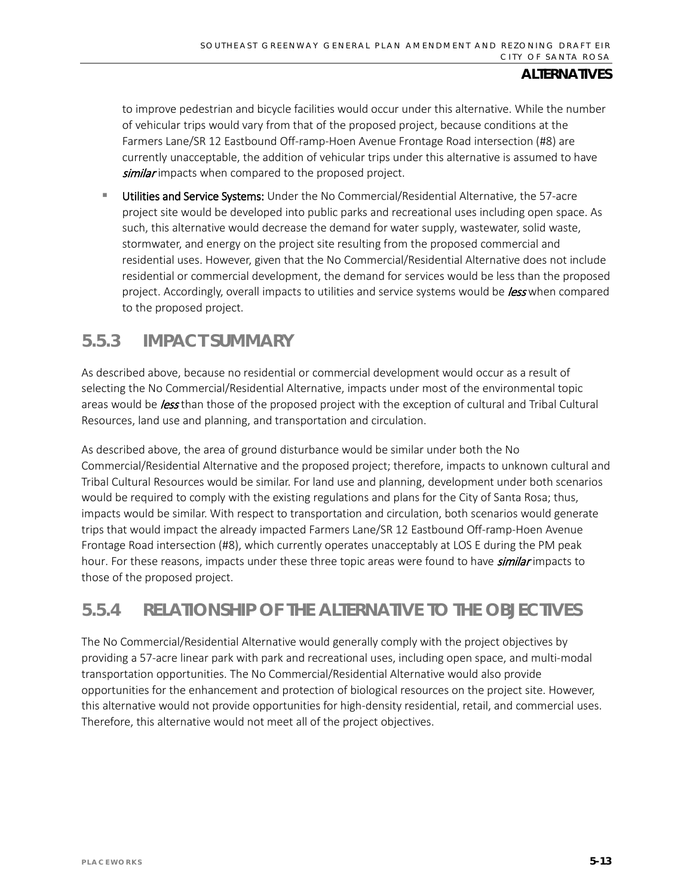to improve pedestrian and bicycle facilities would occur under this alternative. While the number of vehicular trips would vary from that of the proposed project, because conditions at the Farmers Lane/SR 12 Eastbound Off-ramp-Hoen Avenue Frontage Road intersection (#8) are currently unacceptable, the addition of vehicular trips under this alternative is assumed to have similar impacts when compared to the proposed project.

 Utilities and Service Systems: Under the No Commercial/Residential Alternative, the 57-acre project site would be developed into public parks and recreational uses including open space. As such, this alternative would decrease the demand for water supply, wastewater, solid waste, stormwater, and energy on the project site resulting from the proposed commercial and residential uses. However, given that the No Commercial/Residential Alternative does not include residential or commercial development, the demand for services would be less than the proposed project. Accordingly, overall impacts to utilities and service systems would be *less* when compared to the proposed project.

## **5.5.3 IMPACT SUMMARY**

As described above, because no residential or commercial development would occur as a result of selecting the No Commercial/Residential Alternative, impacts under most of the environmental topic areas would be less than those of the proposed project with the exception of cultural and Tribal Cultural Resources, land use and planning, and transportation and circulation.

As described above, the area of ground disturbance would be similar under both the No Commercial/Residential Alternative and the proposed project; therefore, impacts to unknown cultural and Tribal Cultural Resources would be similar. For land use and planning, development under both scenarios would be required to comply with the existing regulations and plans for the City of Santa Rosa; thus, impacts would be similar. With respect to transportation and circulation, both scenarios would generate trips that would impact the already impacted Farmers Lane/SR 12 Eastbound Off-ramp-Hoen Avenue Frontage Road intersection (#8), which currently operates unacceptably at LOS E during the PM peak hour. For these reasons, impacts under these three topic areas were found to have *similar* impacts to those of the proposed project.

# **5.5.4 RELATIONSHIP OF THE ALTERNATIVE TO THE OBJECTIVES**

The No Commercial/Residential Alternative would generally comply with the project objectives by providing a 57-acre linear park with park and recreational uses, including open space, and multi-modal transportation opportunities. The No Commercial/Residential Alternative would also provide opportunities for the enhancement and protection of biological resources on the project site. However, this alternative would not provide opportunities for high-density residential, retail, and commercial uses. Therefore, this alternative would not meet all of the project objectives.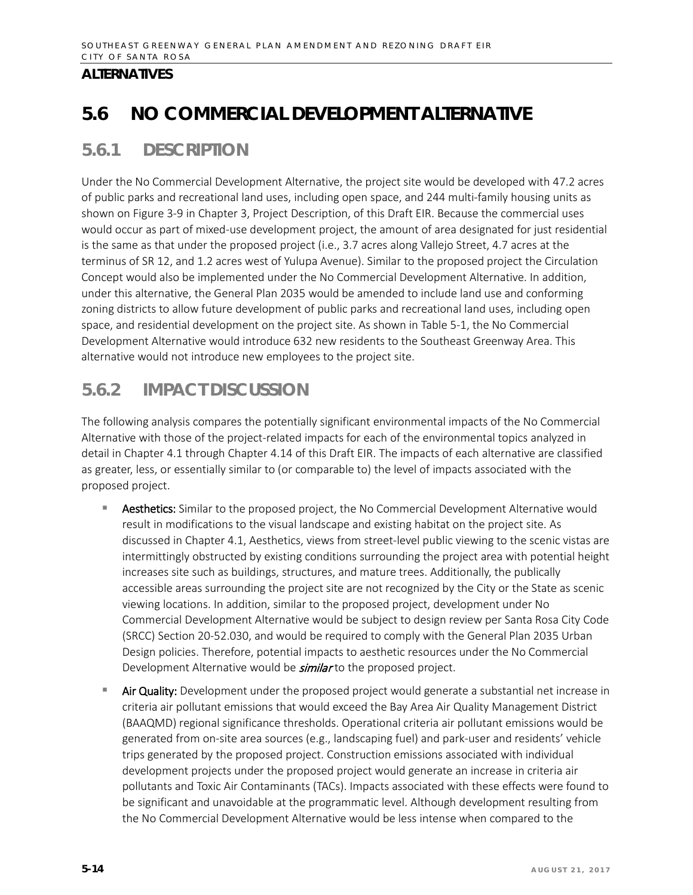# **5.6 NO COMMERCIAL DEVELOPMENT ALTERNATIVE**

# **5.6.1 DESCRIPTION**

Under the No Commercial Development Alternative, the project site would be developed with 47.2 acres of public parks and recreational land uses, including open space, and 244 multi-family housing units as shown on Figure 3-9 in Chapter 3, Project Description, of this Draft EIR. Because the commercial uses would occur as part of mixed-use development project, the amount of area designated for just residential is the same as that under the proposed project (i.e., 3.7 acres along Vallejo Street, 4.7 acres at the terminus of SR 12, and 1.2 acres west of Yulupa Avenue). Similar to the proposed project the Circulation Concept would also be implemented under the No Commercial Development Alternative. In addition, under this alternative, the General Plan 2035 would be amended to include land use and conforming zoning districts to allow future development of public parks and recreational land uses, including open space, and residential development on the project site. As shown in Table 5-1, the No Commercial Development Alternative would introduce 632 new residents to the Southeast Greenway Area. This alternative would not introduce new employees to the project site.

# **5.6.2 IMPACT DISCUSSION**

The following analysis compares the potentially significant environmental impacts of the No Commercial Alternative with those of the project-related impacts for each of the environmental topics analyzed in detail in Chapter 4.1 through Chapter 4.14 of this Draft EIR. The impacts of each alternative are classified as greater, less, or essentially similar to (or comparable to) the level of impacts associated with the proposed project.

- **Aesthetics:** Similar to the proposed project, the No Commercial Development Alternative would result in modifications to the visual landscape and existing habitat on the project site. As discussed in Chapter 4.1, Aesthetics, views from street-level public viewing to the scenic vistas are intermittingly obstructed by existing conditions surrounding the project area with potential height increases site such as buildings, structures, and mature trees. Additionally, the publically accessible areas surrounding the project site are not recognized by the City or the State as scenic viewing locations. In addition, similar to the proposed project, development under No Commercial Development Alternative would be subject to design review per Santa Rosa City Code (SRCC) Section 20-52.030, and would be required to comply with the General Plan 2035 Urban Design policies. Therefore, potential impacts to aesthetic resources under the No Commercial Development Alternative would be **similar** to the proposed project.
- Air Quality: Development under the proposed project would generate a substantial net increase in criteria air pollutant emissions that would exceed the Bay Area Air Quality Management District (BAAQMD) regional significance thresholds. Operational criteria air pollutant emissions would be generated from on-site area sources (e.g., landscaping fuel) and park-user and residents' vehicle trips generated by the proposed project. Construction emissions associated with individual development projects under the proposed project would generate an increase in criteria air pollutants and Toxic Air Contaminants (TACs). Impacts associated with these effects were found to be significant and unavoidable at the programmatic level. Although development resulting from the No Commercial Development Alternative would be less intense when compared to the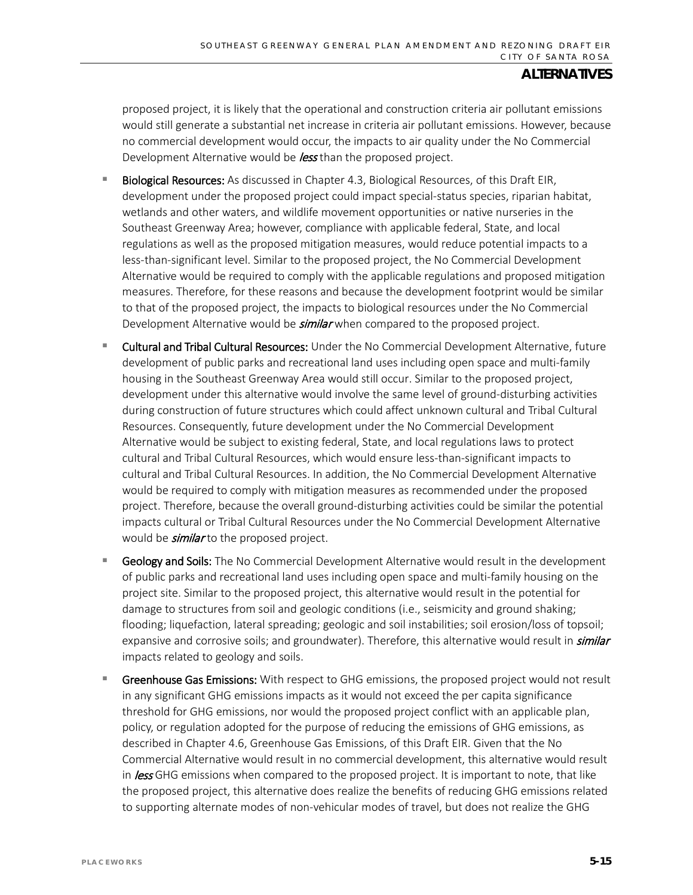proposed project, it is likely that the operational and construction criteria air pollutant emissions would still generate a substantial net increase in criteria air pollutant emissions. However, because no commercial development would occur, the impacts to air quality under the No Commercial Development Alternative would be *less* than the proposed project.

- Biological Resources: As discussed in Chapter 4.3, Biological Resources, of this Draft EIR, development under the proposed project could impact special-status species, riparian habitat, wetlands and other waters, and wildlife movement opportunities or native nurseries in the Southeast Greenway Area; however, compliance with applicable federal, State, and local regulations as well as the proposed mitigation measures, would reduce potential impacts to a less-than-significant level. Similar to the proposed project, the No Commercial Development Alternative would be required to comply with the applicable regulations and proposed mitigation measures. Therefore, for these reasons and because the development footprint would be similar to that of the proposed project, the impacts to biological resources under the No Commercial Development Alternative would be *similar* when compared to the proposed project.
- Cultural and Tribal Cultural Resources: Under the No Commercial Development Alternative, future development of public parks and recreational land uses including open space and multi-family housing in the Southeast Greenway Area would still occur. Similar to the proposed project, development under this alternative would involve the same level of ground-disturbing activities during construction of future structures which could affect unknown cultural and Tribal Cultural Resources. Consequently, future development under the No Commercial Development Alternative would be subject to existing federal, State, and local regulations laws to protect cultural and Tribal Cultural Resources, which would ensure less-than-significant impacts to cultural and Tribal Cultural Resources. In addition, the No Commercial Development Alternative would be required to comply with mitigation measures as recommended under the proposed project. Therefore, because the overall ground-disturbing activities could be similar the potential impacts cultural or Tribal Cultural Resources under the No Commercial Development Alternative would be *similar* to the proposed project.
- Geology and Soils: The No Commercial Development Alternative would result in the development of public parks and recreational land uses including open space and multi-family housing on the project site. Similar to the proposed project, this alternative would result in the potential for damage to structures from soil and geologic conditions (i.e., seismicity and ground shaking; flooding; liquefaction, lateral spreading; geologic and soil instabilities; soil erosion/loss of topsoil; expansive and corrosive soils; and groundwater). Therefore, this alternative would result in *similar* impacts related to geology and soils.
- Greenhouse Gas Emissions: With respect to GHG emissions, the proposed project would not result in any significant GHG emissions impacts as it would not exceed the per capita significance threshold for GHG emissions, nor would the proposed project conflict with an applicable plan, policy, or regulation adopted for the purpose of reducing the emissions of GHG emissions, as described in Chapter 4.6, Greenhouse Gas Emissions, of this Draft EIR. Given that the No Commercial Alternative would result in no commercial development, this alternative would result in **less** GHG emissions when compared to the proposed project. It is important to note, that like the proposed project, this alternative does realize the benefits of reducing GHG emissions related to supporting alternate modes of non-vehicular modes of travel, but does not realize the GHG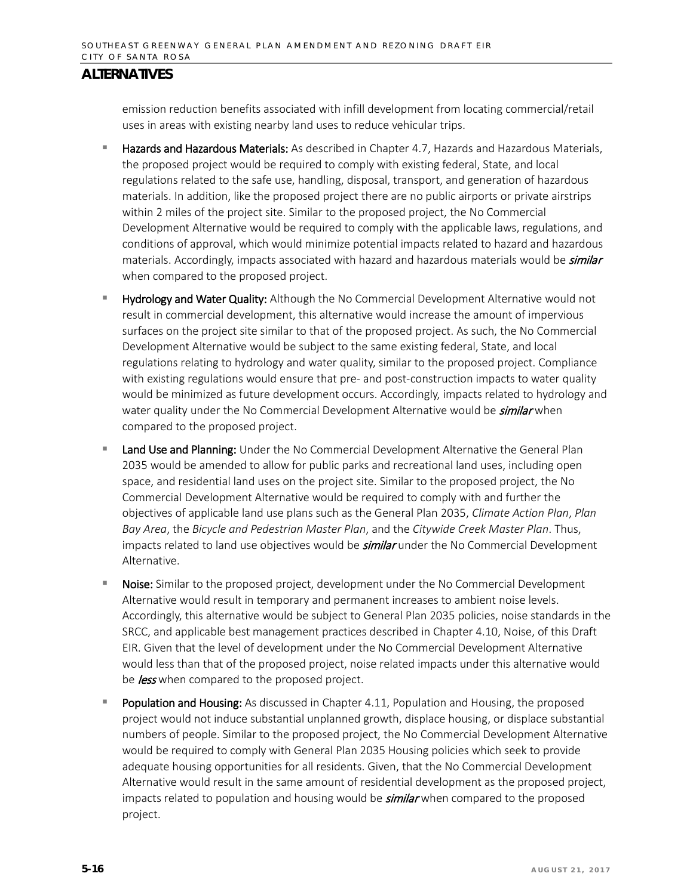emission reduction benefits associated with infill development from locating commercial/retail uses in areas with existing nearby land uses to reduce vehicular trips.

- **Hazards and Hazardous Materials:** As described in Chapter 4.7, Hazards and Hazardous Materials, the proposed project would be required to comply with existing federal, State, and local regulations related to the safe use, handling, disposal, transport, and generation of hazardous materials. In addition, like the proposed project there are no public airports or private airstrips within 2 miles of the project site. Similar to the proposed project, the No Commercial Development Alternative would be required to comply with the applicable laws, regulations, and conditions of approval, which would minimize potential impacts related to hazard and hazardous materials. Accordingly, impacts associated with hazard and hazardous materials would be *similar* when compared to the proposed project.
- **Hydrology and Water Quality:** Although the No Commercial Development Alternative would not result in commercial development, this alternative would increase the amount of impervious surfaces on the project site similar to that of the proposed project. As such, the No Commercial Development Alternative would be subject to the same existing federal, State, and local regulations relating to hydrology and water quality, similar to the proposed project. Compliance with existing regulations would ensure that pre- and post-construction impacts to water quality would be minimized as future development occurs. Accordingly, impacts related to hydrology and water quality under the No Commercial Development Alternative would be *similar* when compared to the proposed project.
- Land Use and Planning: Under the No Commercial Development Alternative the General Plan 2035 would be amended to allow for public parks and recreational land uses, including open space, and residential land uses on the project site. Similar to the proposed project, the No Commercial Development Alternative would be required to comply with and further the objectives of applicable land use plans such as the General Plan 2035, *Climate Action Plan*, *Plan Bay Area*, the *Bicycle and Pedestrian Master Plan*, and the *Citywide Creek Master Plan*. Thus, impacts related to land use objectives would be **similar** under the No Commercial Development Alternative.
- Noise: Similar to the proposed project, development under the No Commercial Development Alternative would result in temporary and permanent increases to ambient noise levels. Accordingly, this alternative would be subject to General Plan 2035 policies, noise standards in the SRCC, and applicable best management practices described in Chapter 4.10, Noise, of this Draft EIR. Given that the level of development under the No Commercial Development Alternative would less than that of the proposed project, noise related impacts under this alternative would be *less* when compared to the proposed project.
- Population and Housing: As discussed in Chapter 4.11, Population and Housing, the proposed project would not induce substantial unplanned growth, displace housing, or displace substantial numbers of people. Similar to the proposed project, the No Commercial Development Alternative would be required to comply with General Plan 2035 Housing policies which seek to provide adequate housing opportunities for all residents. Given, that the No Commercial Development Alternative would result in the same amount of residential development as the proposed project, impacts related to population and housing would be **similar** when compared to the proposed project.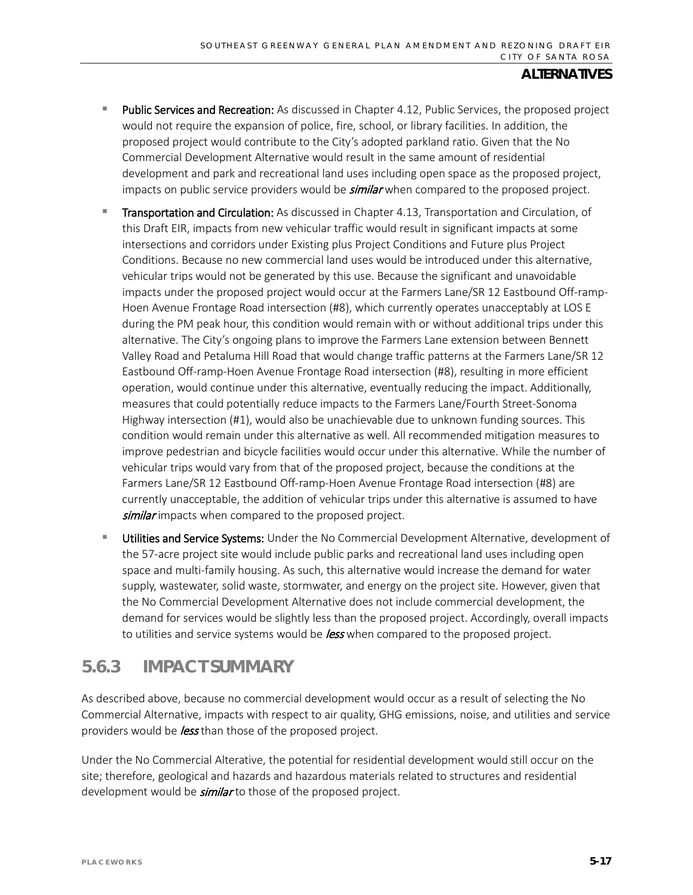- **Public Services and Recreation:** As discussed in Chapter 4.12, Public Services, the proposed project would not require the expansion of police, fire, school, or library facilities. In addition, the proposed project would contribute to the City's adopted parkland ratio. Given that the No Commercial Development Alternative would result in the same amount of residential development and park and recreational land uses including open space as the proposed project, impacts on public service providers would be **similar** when compared to the proposed project.
- Transportation and Circulation: As discussed in Chapter 4.13, Transportation and Circulation, of this Draft EIR, impacts from new vehicular traffic would result in significant impacts at some intersections and corridors under Existing plus Project Conditions and Future plus Project Conditions. Because no new commercial land uses would be introduced under this alternative, vehicular trips would not be generated by this use. Because the significant and unavoidable impacts under the proposed project would occur at the Farmers Lane/SR 12 Eastbound Off-ramp-Hoen Avenue Frontage Road intersection (#8), which currently operates unacceptably at LOS E during the PM peak hour, this condition would remain with or without additional trips under this alternative. The City's ongoing plans to improve the Farmers Lane extension between Bennett Valley Road and Petaluma Hill Road that would change traffic patterns at the Farmers Lane/SR 12 Eastbound Off-ramp-Hoen Avenue Frontage Road intersection (#8), resulting in more efficient operation, would continue under this alternative, eventually reducing the impact. Additionally, measures that could potentially reduce impacts to the Farmers Lane/Fourth Street-Sonoma Highway intersection (#1), would also be unachievable due to unknown funding sources. This condition would remain under this alternative as well. All recommended mitigation measures to improve pedestrian and bicycle facilities would occur under this alternative. While the number of vehicular trips would vary from that of the proposed project, because the conditions at the Farmers Lane/SR 12 Eastbound Off-ramp-Hoen Avenue Frontage Road intersection (#8) are currently unacceptable, the addition of vehicular trips under this alternative is assumed to have similar impacts when compared to the proposed project.
- Utilities and Service Systems: Under the No Commercial Development Alternative, development of the 57-acre project site would include public parks and recreational land uses including open space and multi-family housing. As such, this alternative would increase the demand for water supply, wastewater, solid waste, stormwater, and energy on the project site. However, given that the No Commercial Development Alternative does not include commercial development, the demand for services would be slightly less than the proposed project. Accordingly, overall impacts to utilities and service systems would be *less* when compared to the proposed project.

## **5.6.3 IMPACT SUMMARY**

As described above, because no commercial development would occur as a result of selecting the No Commercial Alternative, impacts with respect to air quality, GHG emissions, noise, and utilities and service providers would be **less** than those of the proposed project.

Under the No Commercial Alterative, the potential for residential development would still occur on the site; therefore, geological and hazards and hazardous materials related to structures and residential development would be *similar* to those of the proposed project.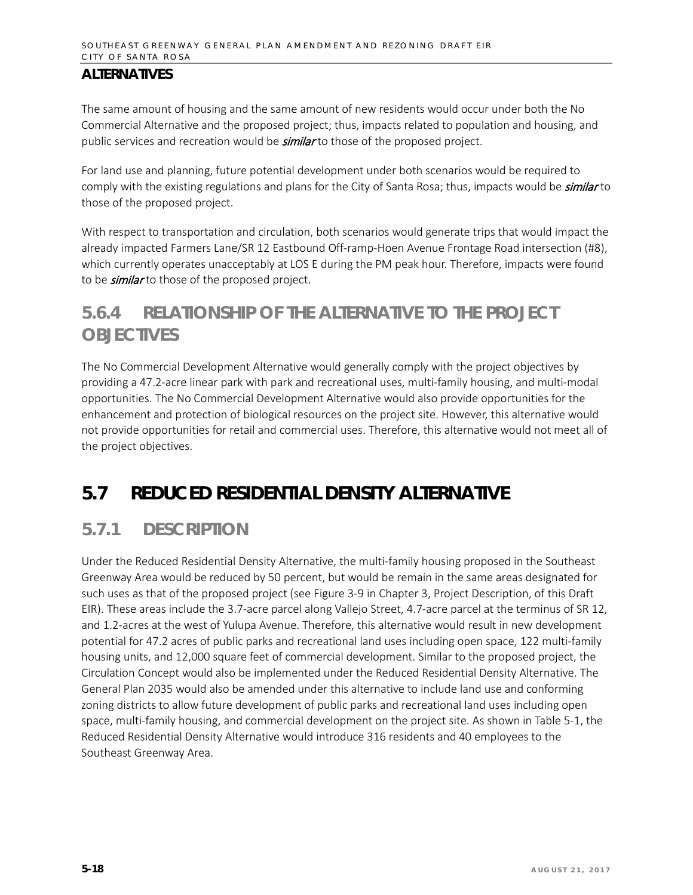The same amount of housing and the same amount of new residents would occur under both the No Commercial Alternative and the proposed project; thus, impacts related to population and housing, and public services and recreation would be *similar* to those of the proposed project.

For land use and planning, future potential development under both scenarios would be required to comply with the existing regulations and plans for the City of Santa Rosa; thus, impacts would be *similar* to those of the proposed project.

With respect to transportation and circulation, both scenarios would generate trips that would impact the already impacted Farmers Lane/SR 12 Eastbound Off-ramp-Hoen Avenue Frontage Road intersection (#8), which currently operates unacceptably at LOS E during the PM peak hour. Therefore, impacts were found to be *similar* to those of the proposed project.

# **5.6.4 RELATIONSHIP OF THE ALTERNATIVE TO THE PROJECT OBJECTIVES**

The No Commercial Development Alternative would generally comply with the project objectives by providing a 47.2-acre linear park with park and recreational uses, multi-family housing, and multi-modal opportunities. The No Commercial Development Alternative would also provide opportunities for the enhancement and protection of biological resources on the project site. However, this alternative would not provide opportunities for retail and commercial uses. Therefore, this alternative would not meet all of the project objectives.

# **5.7 REDUCED RESIDENTIAL DENSITY ALTERNATIVE**

# **5.7.1 DESCRIPTION**

Under the Reduced Residential Density Alternative, the multi-family housing proposed in the Southeast Greenway Area would be reduced by 50 percent, but would be remain in the same areas designated for such uses as that of the proposed project (see Figure 3-9 in Chapter 3, Project Description, of this Draft EIR). These areas include the 3.7-acre parcel along Vallejo Street, 4.7-acre parcel at the terminus of SR 12, and 1.2-acres at the west of Yulupa Avenue. Therefore, this alternative would result in new development potential for 47.2 acres of public parks and recreational land uses including open space, 122 multi-family housing units, and 12,000 square feet of commercial development. Similar to the proposed project, the Circulation Concept would also be implemented under the Reduced Residential Density Alternative. The General Plan 2035 would also be amended under this alternative to include land use and conforming zoning districts to allow future development of public parks and recreational land uses including open space, multi-family housing, and commercial development on the project site. As shown in Table 5-1, the Reduced Residential Density Alternative would introduce 316 residents and 40 employees to the Southeast Greenway Area.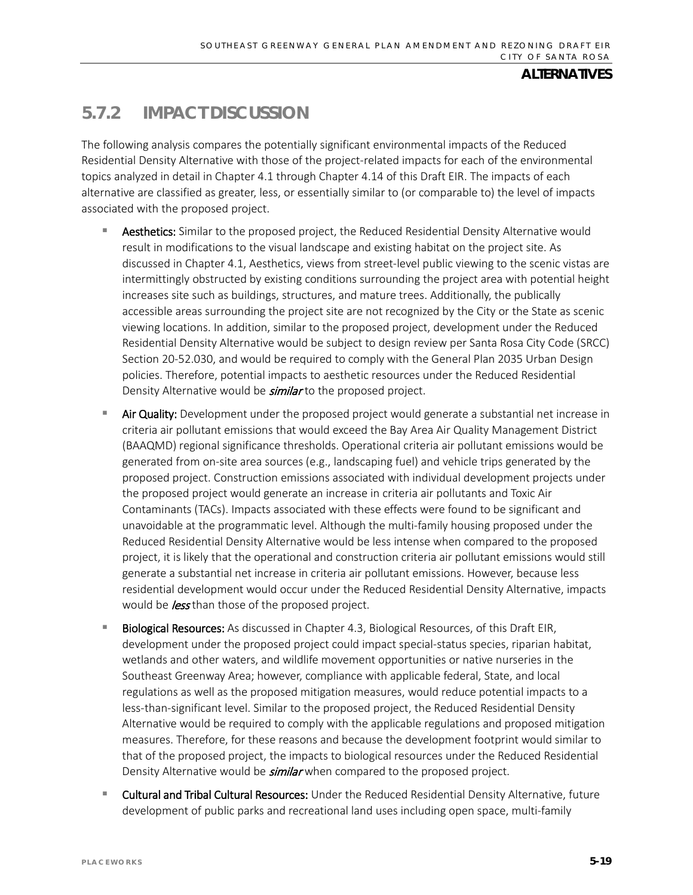# **5.7.2 IMPACT DISCUSSION**

The following analysis compares the potentially significant environmental impacts of the Reduced Residential Density Alternative with those of the project-related impacts for each of the environmental topics analyzed in detail in Chapter 4.1 through Chapter 4.14 of this Draft EIR. The impacts of each alternative are classified as greater, less, or essentially similar to (or comparable to) the level of impacts associated with the proposed project.

- Aesthetics: Similar to the proposed project, the Reduced Residential Density Alternative would result in modifications to the visual landscape and existing habitat on the project site. As discussed in Chapter 4.1, Aesthetics, views from street-level public viewing to the scenic vistas are intermittingly obstructed by existing conditions surrounding the project area with potential height increases site such as buildings, structures, and mature trees. Additionally, the publically accessible areas surrounding the project site are not recognized by the City or the State as scenic viewing locations. In addition, similar to the proposed project, development under the Reduced Residential Density Alternative would be subject to design review per Santa Rosa City Code (SRCC) Section 20-52.030, and would be required to comply with the General Plan 2035 Urban Design policies. Therefore, potential impacts to aesthetic resources under the Reduced Residential Density Alternative would be **similar** to the proposed project.
- Air Quality: Development under the proposed project would generate a substantial net increase in criteria air pollutant emissions that would exceed the Bay Area Air Quality Management District (BAAQMD) regional significance thresholds. Operational criteria air pollutant emissions would be generated from on-site area sources (e.g., landscaping fuel) and vehicle trips generated by the proposed project. Construction emissions associated with individual development projects under the proposed project would generate an increase in criteria air pollutants and Toxic Air Contaminants (TACs). Impacts associated with these effects were found to be significant and unavoidable at the programmatic level. Although the multi-family housing proposed under the Reduced Residential Density Alternative would be less intense when compared to the proposed project, it is likely that the operational and construction criteria air pollutant emissions would still generate a substantial net increase in criteria air pollutant emissions. However, because less residential development would occur under the Reduced Residential Density Alternative, impacts would be *less* than those of the proposed project.
- Biological Resources: As discussed in Chapter 4.3, Biological Resources, of this Draft EIR, development under the proposed project could impact special-status species, riparian habitat, wetlands and other waters, and wildlife movement opportunities or native nurseries in the Southeast Greenway Area; however, compliance with applicable federal, State, and local regulations as well as the proposed mitigation measures, would reduce potential impacts to a less-than-significant level. Similar to the proposed project, the Reduced Residential Density Alternative would be required to comply with the applicable regulations and proposed mitigation measures. Therefore, for these reasons and because the development footprint would similar to that of the proposed project, the impacts to biological resources under the Reduced Residential Density Alternative would be *similar* when compared to the proposed project.
- Cultural and Tribal Cultural Resources: Under the Reduced Residential Density Alternative, future development of public parks and recreational land uses including open space, multi-family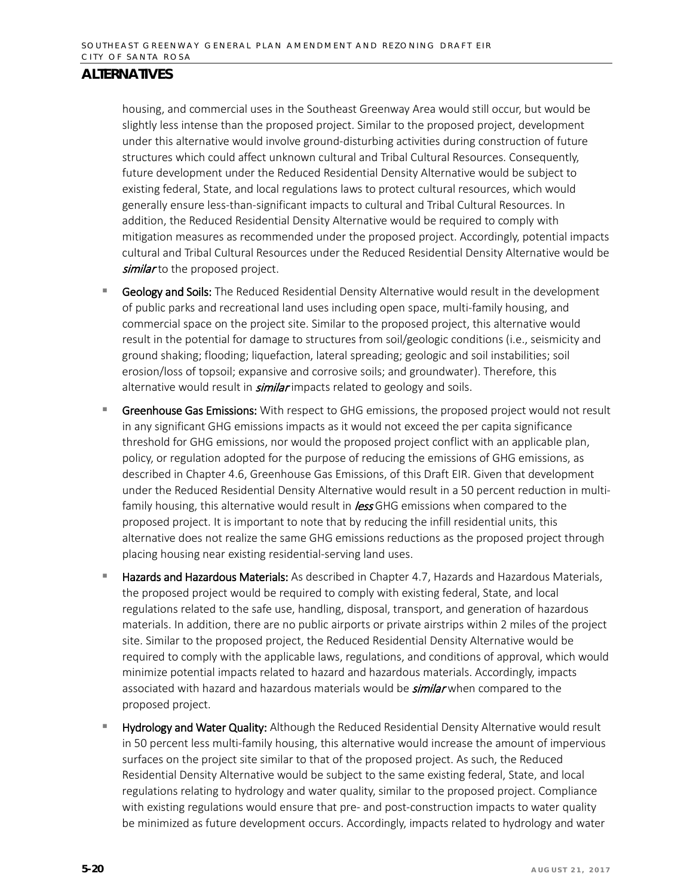housing, and commercial uses in the Southeast Greenway Area would still occur, but would be slightly less intense than the proposed project. Similar to the proposed project, development under this alternative would involve ground-disturbing activities during construction of future structures which could affect unknown cultural and Tribal Cultural Resources. Consequently, future development under the Reduced Residential Density Alternative would be subject to existing federal, State, and local regulations laws to protect cultural resources, which would generally ensure less-than-significant impacts to cultural and Tribal Cultural Resources. In addition, the Reduced Residential Density Alternative would be required to comply with mitigation measures as recommended under the proposed project. Accordingly, potential impacts cultural and Tribal Cultural Resources under the Reduced Residential Density Alternative would be similar to the proposed project.

- **Geology and Soils:** The Reduced Residential Density Alternative would result in the development of public parks and recreational land uses including open space, multi-family housing, and commercial space on the project site. Similar to the proposed project, this alternative would result in the potential for damage to structures from soil/geologic conditions (i.e., seismicity and ground shaking; flooding; liquefaction, lateral spreading; geologic and soil instabilities; soil erosion/loss of topsoil; expansive and corrosive soils; and groundwater). Therefore, this alternative would result in *similar* impacts related to geology and soils.
- Greenhouse Gas Emissions: With respect to GHG emissions, the proposed project would not result in any significant GHG emissions impacts as it would not exceed the per capita significance threshold for GHG emissions, nor would the proposed project conflict with an applicable plan, policy, or regulation adopted for the purpose of reducing the emissions of GHG emissions, as described in Chapter 4.6, Greenhouse Gas Emissions, of this Draft EIR. Given that development under the Reduced Residential Density Alternative would result in a 50 percent reduction in multifamily housing, this alternative would result in **less** GHG emissions when compared to the proposed project. It is important to note that by reducing the infill residential units, this alternative does not realize the same GHG emissions reductions as the proposed project through placing housing near existing residential-serving land uses.
- Hazards and Hazardous Materials: As described in Chapter 4.7, Hazards and Hazardous Materials, the proposed project would be required to comply with existing federal, State, and local regulations related to the safe use, handling, disposal, transport, and generation of hazardous materials. In addition, there are no public airports or private airstrips within 2 miles of the project site. Similar to the proposed project, the Reduced Residential Density Alternative would be required to comply with the applicable laws, regulations, and conditions of approval, which would minimize potential impacts related to hazard and hazardous materials. Accordingly, impacts associated with hazard and hazardous materials would be **similar** when compared to the proposed project.
- Hydrology and Water Quality: Although the Reduced Residential Density Alternative would result in 50 percent less multi-family housing, this alternative would increase the amount of impervious surfaces on the project site similar to that of the proposed project. As such, the Reduced Residential Density Alternative would be subject to the same existing federal, State, and local regulations relating to hydrology and water quality, similar to the proposed project. Compliance with existing regulations would ensure that pre- and post-construction impacts to water quality be minimized as future development occurs. Accordingly, impacts related to hydrology and water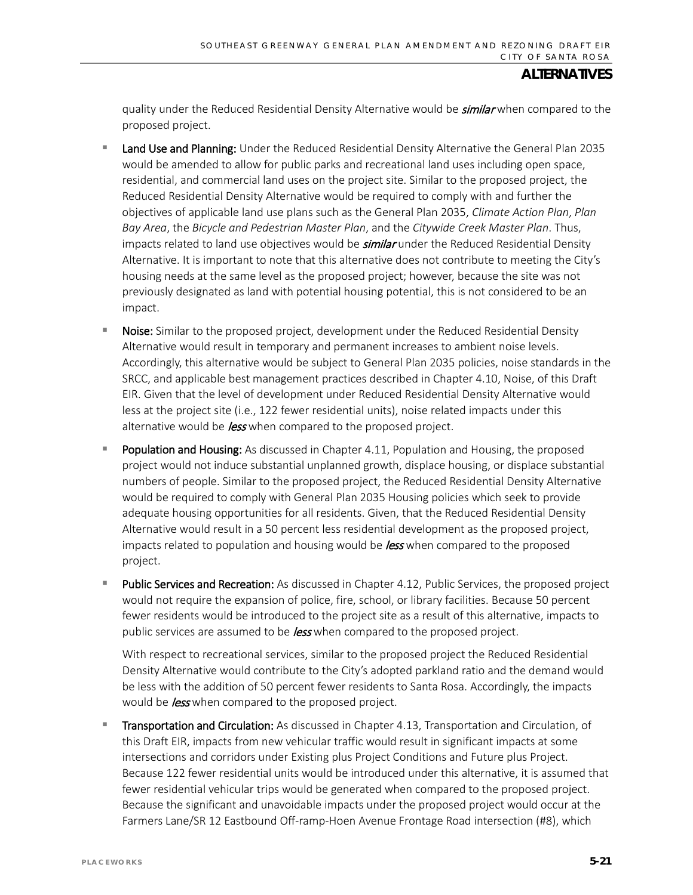quality under the Reduced Residential Density Alternative would be **similar** when compared to the proposed project.

- **Land Use and Planning:** Under the Reduced Residential Density Alternative the General Plan 2035 would be amended to allow for public parks and recreational land uses including open space, residential, and commercial land uses on the project site. Similar to the proposed project, the Reduced Residential Density Alternative would be required to comply with and further the objectives of applicable land use plans such as the General Plan 2035, *Climate Action Plan*, *Plan Bay Area*, the *Bicycle and Pedestrian Master Plan*, and the *Citywide Creek Master Plan*. Thus, impacts related to land use objectives would be *similar* under the Reduced Residential Density Alternative. It is important to note that this alternative does not contribute to meeting the City's housing needs at the same level as the proposed project; however, because the site was not previously designated as land with potential housing potential, this is not considered to be an impact.
- Noise: Similar to the proposed project, development under the Reduced Residential Density Alternative would result in temporary and permanent increases to ambient noise levels. Accordingly, this alternative would be subject to General Plan 2035 policies, noise standards in the SRCC, and applicable best management practices described in Chapter 4.10, Noise, of this Draft EIR. Given that the level of development under Reduced Residential Density Alternative would less at the project site (i.e., 122 fewer residential units), noise related impacts under this alternative would be *less* when compared to the proposed project.
- Population and Housing: As discussed in Chapter 4.11, Population and Housing, the proposed project would not induce substantial unplanned growth, displace housing, or displace substantial numbers of people. Similar to the proposed project, the Reduced Residential Density Alternative would be required to comply with General Plan 2035 Housing policies which seek to provide adequate housing opportunities for all residents. Given, that the Reduced Residential Density Alternative would result in a 50 percent less residential development as the proposed project, impacts related to population and housing would be *less* when compared to the proposed project.
- Public Services and Recreation: As discussed in Chapter 4.12, Public Services, the proposed project would not require the expansion of police, fire, school, or library facilities. Because 50 percent fewer residents would be introduced to the project site as a result of this alternative, impacts to public services are assumed to be *less* when compared to the proposed project.

With respect to recreational services, similar to the proposed project the Reduced Residential Density Alternative would contribute to the City's adopted parkland ratio and the demand would be less with the addition of 50 percent fewer residents to Santa Rosa. Accordingly, the impacts would be *less* when compared to the proposed project.

 Transportation and Circulation: As discussed in Chapter 4.13, Transportation and Circulation, of this Draft EIR, impacts from new vehicular traffic would result in significant impacts at some intersections and corridors under Existing plus Project Conditions and Future plus Project. Because 122 fewer residential units would be introduced under this alternative, it is assumed that fewer residential vehicular trips would be generated when compared to the proposed project. Because the significant and unavoidable impacts under the proposed project would occur at the Farmers Lane/SR 12 Eastbound Off-ramp-Hoen Avenue Frontage Road intersection (#8), which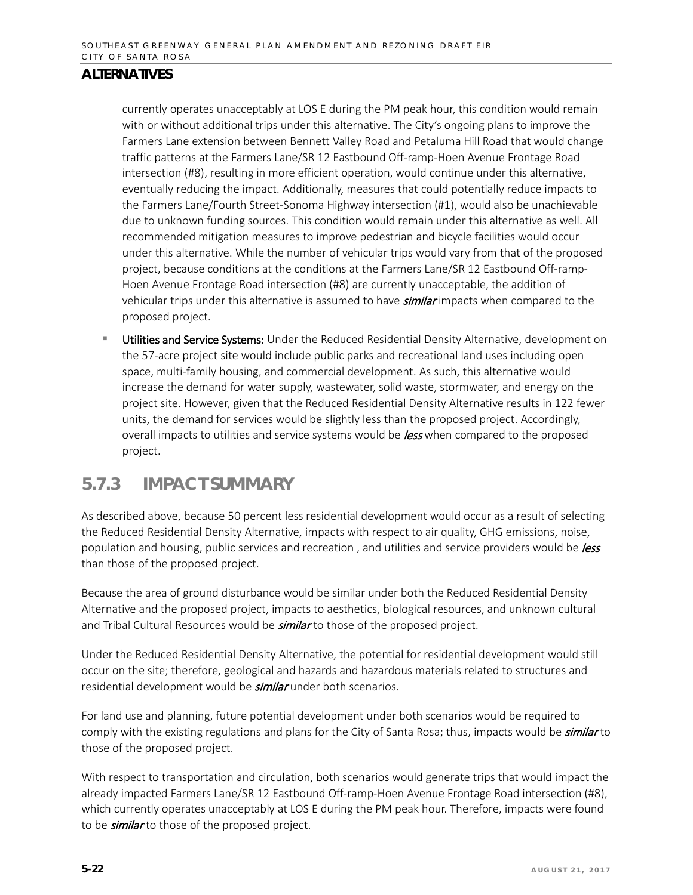currently operates unacceptably at LOS E during the PM peak hour, this condition would remain with or without additional trips under this alternative. The City's ongoing plans to improve the Farmers Lane extension between Bennett Valley Road and Petaluma Hill Road that would change traffic patterns at the Farmers Lane/SR 12 Eastbound Off-ramp-Hoen Avenue Frontage Road intersection (#8), resulting in more efficient operation, would continue under this alternative, eventually reducing the impact. Additionally, measures that could potentially reduce impacts to the Farmers Lane/Fourth Street-Sonoma Highway intersection (#1), would also be unachievable due to unknown funding sources. This condition would remain under this alternative as well. All recommended mitigation measures to improve pedestrian and bicycle facilities would occur under this alternative. While the number of vehicular trips would vary from that of the proposed project, because conditions at the conditions at the Farmers Lane/SR 12 Eastbound Off-ramp-Hoen Avenue Frontage Road intersection (#8) are currently unacceptable, the addition of vehicular trips under this alternative is assumed to have **similar** impacts when compared to the proposed project.

**Utilities and Service Systems:** Under the Reduced Residential Density Alternative, development on the 57-acre project site would include public parks and recreational land uses including open space, multi-family housing, and commercial development. As such, this alternative would increase the demand for water supply, wastewater, solid waste, stormwater, and energy on the project site. However, given that the Reduced Residential Density Alternative results in 122 fewer units, the demand for services would be slightly less than the proposed project. Accordingly, overall impacts to utilities and service systems would be *less* when compared to the proposed project.

## **5.7.3 IMPACT SUMMARY**

As described above, because 50 percent less residential development would occur as a result of selecting the Reduced Residential Density Alternative, impacts with respect to air quality, GHG emissions, noise, population and housing, public services and recreation, and utilities and service providers would be less than those of the proposed project.

Because the area of ground disturbance would be similar under both the Reduced Residential Density Alternative and the proposed project, impacts to aesthetics, biological resources, and unknown cultural and Tribal Cultural Resources would be **similar** to those of the proposed project.

Under the Reduced Residential Density Alternative, the potential for residential development would still occur on the site; therefore, geological and hazards and hazardous materials related to structures and residential development would be **similar** under both scenarios.

For land use and planning, future potential development under both scenarios would be required to comply with the existing regulations and plans for the City of Santa Rosa; thus, impacts would be *similar* to those of the proposed project.

With respect to transportation and circulation, both scenarios would generate trips that would impact the already impacted Farmers Lane/SR 12 Eastbound Off-ramp-Hoen Avenue Frontage Road intersection (#8), which currently operates unacceptably at LOS E during the PM peak hour. Therefore, impacts were found to be *similar* to those of the proposed project.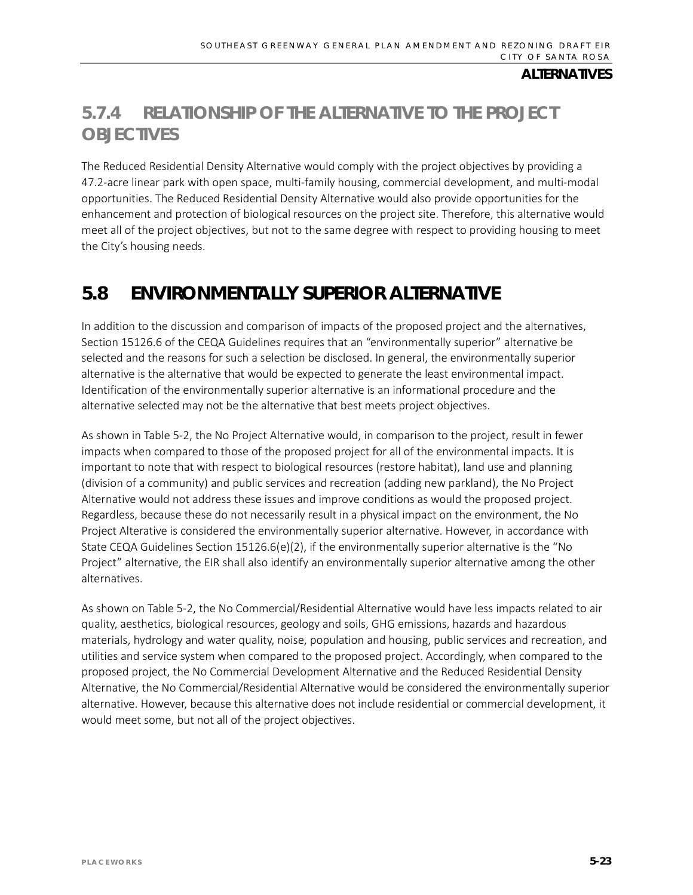# **5.7.4 RELATIONSHIP OF THE ALTERNATIVE TO THE PROJECT OBJECTIVES**

The Reduced Residential Density Alternative would comply with the project objectives by providing a 47.2-acre linear park with open space, multi-family housing, commercial development, and multi-modal opportunities. The Reduced Residential Density Alternative would also provide opportunities for the enhancement and protection of biological resources on the project site. Therefore, this alternative would meet all of the project objectives, but not to the same degree with respect to providing housing to meet the City's housing needs.

# **5.8 ENVIRONMENTALLY SUPERIOR ALTERNATIVE**

In addition to the discussion and comparison of impacts of the proposed project and the alternatives, Section 15126.6 of the CEQA Guidelines requires that an "environmentally superior" alternative be selected and the reasons for such a selection be disclosed. In general, the environmentally superior alternative is the alternative that would be expected to generate the least environmental impact. Identification of the environmentally superior alternative is an informational procedure and the alternative selected may not be the alternative that best meets project objectives.

As shown in Table 5-2, the No Project Alternative would, in comparison to the project, result in fewer impacts when compared to those of the proposed project for all of the environmental impacts. It is important to note that with respect to biological resources (restore habitat), land use and planning (division of a community) and public services and recreation (adding new parkland), the No Project Alternative would not address these issues and improve conditions as would the proposed project. Regardless, because these do not necessarily result in a physical impact on the environment, the No Project Alterative is considered the environmentally superior alternative. However, in accordance with State CEQA Guidelines Section 15126.6(e)(2), if the environmentally superior alternative is the "No Project" alternative, the EIR shall also identify an environmentally superior alternative among the other alternatives.

As shown on Table 5-2, the No Commercial/Residential Alternative would have less impacts related to air quality, aesthetics, biological resources, geology and soils, GHG emissions, hazards and hazardous materials, hydrology and water quality, noise, population and housing, public services and recreation, and utilities and service system when compared to the proposed project. Accordingly, when compared to the proposed project, the No Commercial Development Alternative and the Reduced Residential Density Alternative, the No Commercial/Residential Alternative would be considered the environmentally superior alternative. However, because this alternative does not include residential or commercial development, it would meet some, but not all of the project objectives.